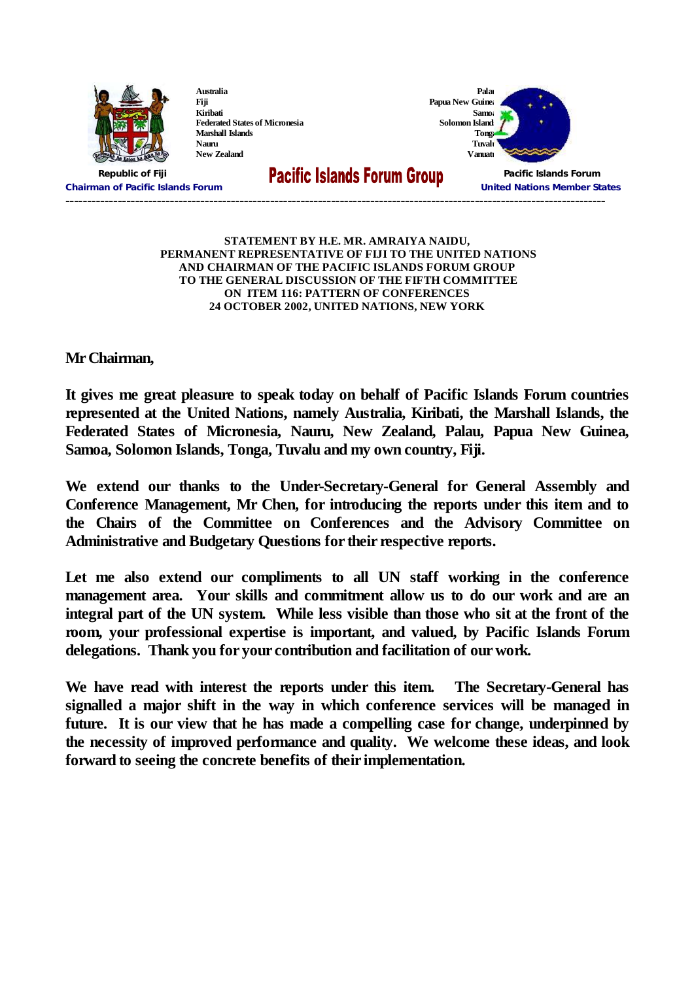

## **STATEMENT BY H.E. MR. AMRAIYA NAIDU, PERMANENT REPRESENTATIVE OF FIJI TO THE UNITED NATIONS AND CHAIRMAN OF THE PACIFIC ISLANDS FORUM GROUP TO THE GENERAL DISCUSSION OF THE FIFTH COMMITTEE ON ITEM 116: PATTERN OF CONFERENCES 24 OCTOBER 2002, UNITED NATIONS, NEW YORK**

**Mr Chairman,**

**It gives me great pleasure to speak today on behalf of Pacific Islands Forum countries represented at the United Nations, namely Australia, Kiribati, the Marshall Islands, the Federated States of Micronesia, Nauru, New Zealand, Palau, Papua New Guinea, Samoa, Solomon Islands, Tonga, Tuvalu and my own country, Fiji.**

**We extend our thanks to the Under-Secretary-General for General Assembly and Conference Management, Mr Chen, for introducing the reports under this item and to the Chairs of the Committee on Conferences and the Advisory Committee on Administrative and Budgetary Questions for their respective reports.**

**Let me also extend our compliments to all UN staff working in the conference management area. Your skills and commitment allow us to do our work and are an integral part of the UN system. While less visible than those who sit at the front of the room, your professional expertise is important, and valued, by Pacific Islands Forum delegations. Thank you for your contribution and facilitation of our work.**

**We have read with interest the reports under this item. The Secretary-General has signalled a major shift in the way in which conference services will be managed in future. It is our view that he has made a compelling case for change, underpinned by the necessity of improved performance and quality. We welcome these ideas, and look forward to seeing the concrete benefits of their implementation.**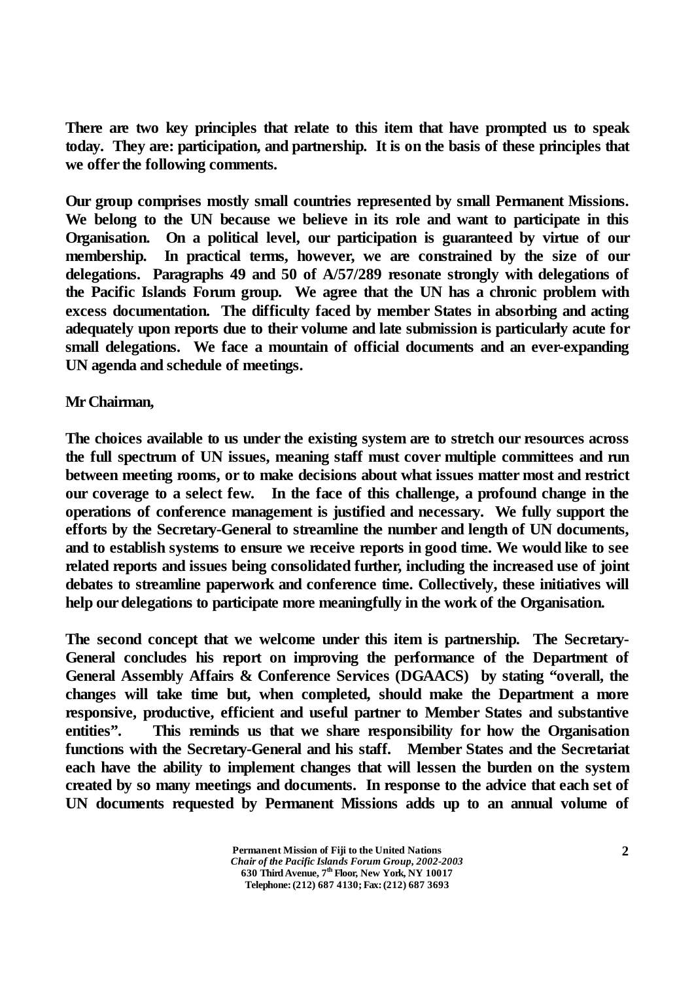**There are two key principles that relate to this item that have prompted us to speak today. They are: participation, and partnership. It is on the basis of these principles that we offer the following comments.**

**Our group comprises mostly small countries represented by small Permanent Missions. We belong to the UN because we believe in its role and want to participate in this Organisation. On a political level, our participation is guaranteed by virtue of our membership. In practical terms, however, we are constrained by the size of our delegations. Paragraphs 49 and 50 of A/57/289 resonate strongly with delegations of the Pacific Islands Forum group. We agree that the UN has a chronic problem with excess documentation. The difficulty faced by member States in absorbing and acting adequately upon reports due to their volume and late submission is particularly acute for small delegations. We face a mountain of official documents and an ever-expanding UN agenda and schedule of meetings.**

## **Mr Chairman,**

**The choices available to us under the existing system are to stretch our resources across the full spectrum of UN issues, meaning staff must cover multiple committees and run between meeting rooms, or to make decisions about what issues matter most and restrict our coverage to a select few. In the face of this challenge, a profound change in the operations of conference management is justified and necessary. We fully support the efforts by the Secretary-General to streamline the number and length of UN documents, and to establish systems to ensure we receive reports in good time. We would like to see related reports and issues being consolidated further, including the increased use of joint debates to streamline paperwork and conference time. Collectively, these initiatives will help our delegations to participate more meaningfully in the work of the Organisation.**

**The second concept that we welcome under this item is partnership. The Secretary-General concludes his report on improving the performance of the Department of General Assembly Affairs & Conference Services (DGAACS) by stating "overall, the changes will take time but, when completed, should make the Department a more responsive, productive, efficient and useful partner to Member States and substantive entities". This reminds us that we share responsibility for how the Organisation functions with the Secretary-General and his staff. Member States and the Secretariat each have the ability to implement changes that will lessen the burden on the system created by so many meetings and documents. In response to the advice that each set of UN documents requested by Permanent Missions adds up to an annual volume of**